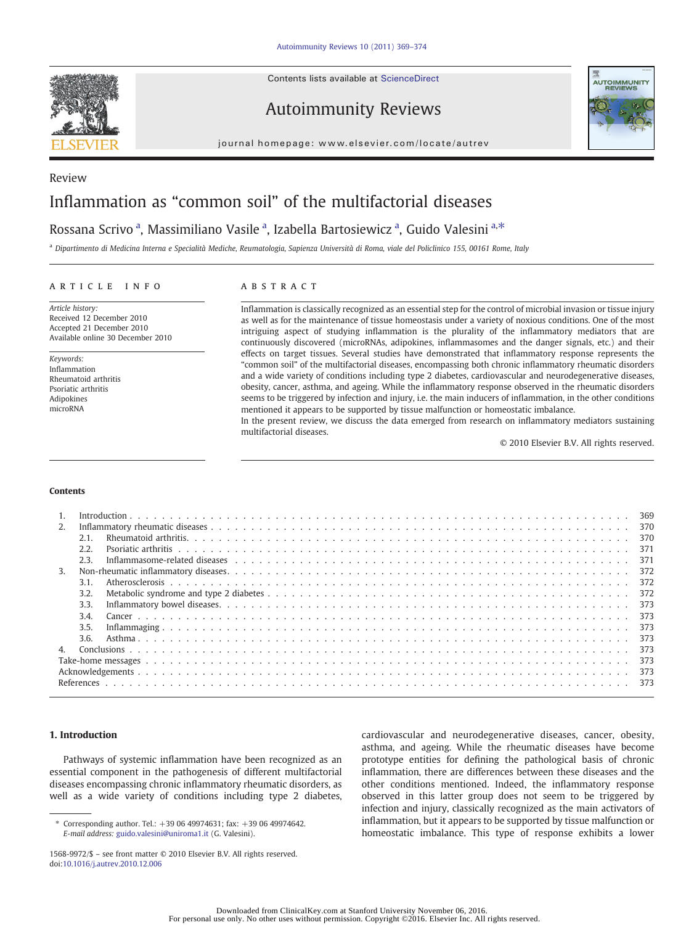Contents lists available at ScienceDirect



Review

Autoimmunity Reviews



journal homepage: www.elsevier.com/locate/autrev

# Inflammation as "common soil" of the multifactorial diseases

## Rossana Scrivo <sup>a</sup>, Massimiliano Vasile <sup>a</sup>, Izabella Bartosiewicz <sup>a</sup>, Guido Valesini <sup>a,\*</sup>

<sup>a</sup> Dipartimento di Medicina Interna e Specialità Mediche, Reumatologia, Sapienza Università di Roma, viale del Policlinico 155, 00161 Rome, Italy

#### article info abstract

Article history: Received 12 December 2010 Accepted 21 December 2010 Available online 30 December 2010

Keywords: Inflammation Rheumatoid arthritis Psoriatic arthritis Adipokines microRNA

Inflammation is classically recognized as an essential step for the control of microbial invasion or tissue injury as well as for the maintenance of tissue homeostasis under a variety of noxious conditions. One of the most intriguing aspect of studying inflammation is the plurality of the inflammatory mediators that are continuously discovered (microRNAs, adipokines, inflammasomes and the danger signals, etc.) and their effects on target tissues. Several studies have demonstrated that inflammatory response represents the "common soil" of the multifactorial diseases, encompassing both chronic inflammatory rheumatic disorders and a wide variety of conditions including type 2 diabetes, cardiovascular and neurodegenerative diseases, obesity, cancer, asthma, and ageing. While the inflammatory response observed in the rheumatic disorders seems to be triggered by infection and injury, i.e. the main inducers of inflammation, in the other conditions mentioned it appears to be supported by tissue malfunction or homeostatic imbalance.

In the present review, we discuss the data emerged from research on inflammatory mediators sustaining multifactorial diseases.

© 2010 Elsevier B.V. All rights reserved.

#### Contents

| 2. |                                                                                                                                                                                                                                        | 370 |  |  |  |
|----|----------------------------------------------------------------------------------------------------------------------------------------------------------------------------------------------------------------------------------------|-----|--|--|--|
|    | 2.1.                                                                                                                                                                                                                                   | 370 |  |  |  |
|    | 2.2.                                                                                                                                                                                                                                   | 371 |  |  |  |
|    | 2.3.<br>Inflammasome-related diseases responses in the content of the content of the content of the content of the content of the content of the content of the content of the content of the content of the content of the content of | 371 |  |  |  |
| 3. |                                                                                                                                                                                                                                        | 372 |  |  |  |
|    | 3.1.                                                                                                                                                                                                                                   | 372 |  |  |  |
|    | 3.2.                                                                                                                                                                                                                                   | 372 |  |  |  |
|    | 3.3.                                                                                                                                                                                                                                   | 373 |  |  |  |
|    | 3.4.                                                                                                                                                                                                                                   | 373 |  |  |  |
|    | 3.5.                                                                                                                                                                                                                                   | 373 |  |  |  |
|    | 3.6.                                                                                                                                                                                                                                   | 373 |  |  |  |
| 4. |                                                                                                                                                                                                                                        | 373 |  |  |  |
|    |                                                                                                                                                                                                                                        |     |  |  |  |
|    |                                                                                                                                                                                                                                        |     |  |  |  |

#### 1. Introduction

Pathways of systemic inflammation have been recognized as an essential component in the pathogenesis of different multifactorial diseases encompassing chronic inflammatory rheumatic disorders, as well as a wide variety of conditions including type 2 diabetes, cardiovascular and neurodegenerative diseases, cancer, obesity, asthma, and ageing. While the rheumatic diseases have become prototype entities for defining the pathological basis of chronic inflammation, there are differences between these diseases and the other conditions mentioned. Indeed, the inflammatory response observed in this latter group does not seem to be triggered by infection and injury, classically recognized as the main activators of inflammation, but it appears to be supported by tissue malfunction or homeostatic imbalance. This type of response exhibits a lower

<sup>⁎</sup> Corresponding author. Tel.: +39 06 49974631; fax: +39 06 49974642. E-mail address: [guido.valesini@uniroma1.it](mailto:guido.valesini@uniroma1.it) (G. Valesini).

<sup>1568-9972/\$</sup> – see front matter © 2010 Elsevier B.V. All rights reserved. doi:[10.1016/j.autrev.2010.12.006](http://dx.doi.org/10.1016/j.autrev.2010.12.006)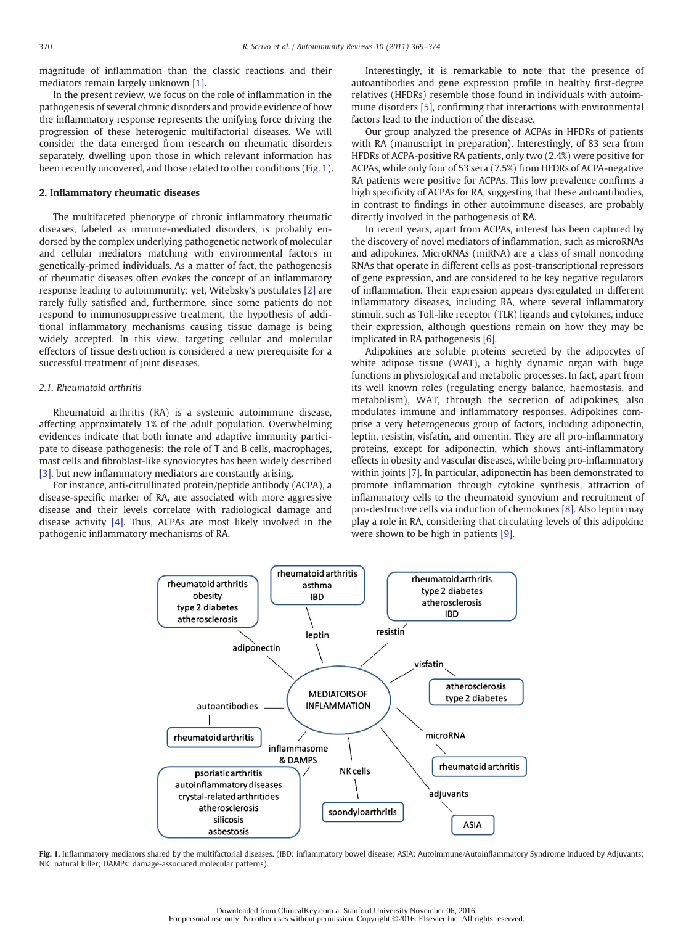magnitude of inflammation than the classic reactions and their mediators remain largely unknown [\[1\]](#page-4-0).

In the present review, we focus on the role of inflammation in the pathogenesis of several chronic disorders and provide evidence of how the inflammatory response represents the unifying force driving the progression of these heterogenic multifactorial diseases. We will consider the data emerged from research on rheumatic disorders separately, dwelling upon those in which relevant information has been recently uncovered, and those related to other conditions (Fig. 1).

#### 2. Inflammatory rheumatic diseases

The multifaceted phenotype of chronic inflammatory rheumatic diseases, labeled as immune-mediated disorders, is probably endorsed by the complex underlying pathogenetic network of molecular and cellular mediators matching with environmental factors in genetically-primed individuals. As a matter of fact, the pathogenesis of rheumatic diseases often evokes the concept of an inflammatory response leading to autoimmunity: yet, Witebsky's postulates [\[2\]](#page-4-0) are rarely fully satisfied and, furthermore, since some patients do not respond to immunosuppressive treatment, the hypothesis of additional inflammatory mechanisms causing tissue damage is being widely accepted. In this view, targeting cellular and molecular effectors of tissue destruction is considered a new prerequisite for a successful treatment of joint diseases.

#### 2.1. Rheumatoid arthritis

Rheumatoid arthritis (RA) is a systemic autoimmune disease, affecting approximately 1% of the adult population. Overwhelming evidences indicate that both innate and adaptive immunity participate to disease pathogenesis: the role of T and B cells, macrophages, mast cells and fibroblast-like synoviocytes has been widely described [\[3\],](#page-4-0) but new inflammatory mediators are constantly arising.

For instance, anti-citrullinated protein/peptide antibody (ACPA), a disease-specific marker of RA, are associated with more aggressive disease and their levels correlate with radiological damage and disease activity [\[4\].](#page-4-0) Thus, ACPAs are most likely involved in the pathogenic inflammatory mechanisms of RA.

Interestingly, it is remarkable to note that the presence of autoantibodies and gene expression profile in healthy first-degree relatives (HFDRs) resemble those found in individuals with autoimmune disorders [\[5\]](#page-4-0), confirming that interactions with environmental factors lead to the induction of the disease.

Our group analyzed the presence of ACPAs in HFDRs of patients with RA (manuscript in preparation). Interestingly, of 83 sera from HFDRs of ACPA-positive RA patients, only two (2.4%) were positive for ACPAs, while only four of 53 sera (7.5%) from HFDRs of ACPA-negative RA patients were positive for ACPAs. This low prevalence confirms a high specificity of ACPAs for RA, suggesting that these autoantibodies, in contrast to findings in other autoimmune diseases, are probably directly involved in the pathogenesis of RA.

In recent years, apart from ACPAs, interest has been captured by the discovery of novel mediators of inflammation, such as microRNAs and adipokines. MicroRNAs (miRNA) are a class of small noncoding RNAs that operate in different cells as post-transcriptional repressors of gene expression, and are considered to be key negative regulators of inflammation. Their expression appears dysregulated in different inflammatory diseases, including RA, where several inflammatory stimuli, such as Toll-like receptor (TLR) ligands and cytokines, induce their expression, although questions remain on how they may be implicated in RA pathogenesis [\[6\].](#page-4-0)

Adipokines are soluble proteins secreted by the adipocytes of white adipose tissue (WAT), a highly dynamic organ with huge functions in physiological and metabolic processes. In fact, apart from its well known roles (regulating energy balance, haemostasis, and metabolism), WAT, through the secretion of adipokines, also modulates immune and inflammatory responses. Adipokines comprise a very heterogeneous group of factors, including adiponectin, leptin, resistin, visfatin, and omentin. They are all pro-inflammatory proteins, except for adiponectin, which shows anti-inflammatory effects in obesity and vascular diseases, while being pro-inflammatory within joints [\[7\]](#page-4-0). In particular, adiponectin has been demonstrated to promote inflammation through cytokine synthesis, attraction of inflammatory cells to the rheumatoid synovium and recruitment of pro-destructive cells via induction of chemokines [\[8\]](#page-4-0). Also leptin may play a role in RA, considering that circulating levels of this adipokine were shown to be high in patients [\[9\].](#page-4-0)



Fig. 1. Inflammatory mediators shared by the multifactorial diseases. (IBD: inflammatory bowel disease; ASIA: Autoimmune/Autoinflammatory Syndrome Induced by Adjuvants; NK: natural killer; DAMPs: damage-associated molecular patterns).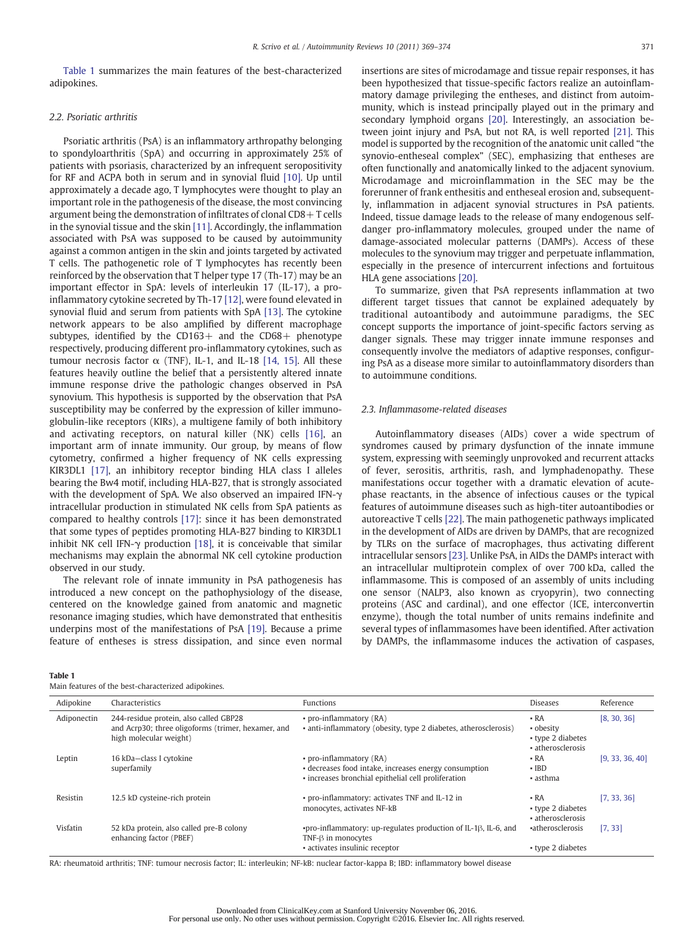<span id="page-2-0"></span>Table 1 summarizes the main features of the best-characterized adipokines.

#### 2.2. Psoriatic arthritis

Psoriatic arthritis (PsA) is an inflammatory arthropathy belonging to spondyloarthritis (SpA) and occurring in approximately 25% of patients with psoriasis, characterized by an infrequent seropositivity for RF and ACPA both in serum and in synovial fluid [\[10\]](#page-4-0). Up until approximately a decade ago, T lymphocytes were thought to play an important role in the pathogenesis of the disease, the most convincing argument being the demonstration of infiltrates of clonal CD8+ T cells in the synovial tissue and the skin [\[11\]](#page-4-0). Accordingly, the inflammation associated with PsA was supposed to be caused by autoimmunity against a common antigen in the skin and joints targeted by activated T cells. The pathogenetic role of T lymphocytes has recently been reinforced by the observation that T helper type 17 (Th-17) may be an important effector in SpA: levels of interleukin 17 (IL-17), a proinflammatory cytokine secreted by Th-17 [\[12\]](#page-4-0), were found elevated in synovial fluid and serum from patients with SpA [\[13\].](#page-4-0) The cytokine network appears to be also amplified by different macrophage subtypes, identified by the CD163+ and the CD68+ phenotype respectively, producing different pro-inflammatory cytokines, such as tumour necrosis factor  $\alpha$  (TNF), IL-1, and IL-18 [\[14, 15\]](#page-4-0). All these features heavily outline the belief that a persistently altered innate immune response drive the pathologic changes observed in PsA synovium. This hypothesis is supported by the observation that PsA susceptibility may be conferred by the expression of killer immunoglobulin-like receptors (KIRs), a multigene family of both inhibitory and activating receptors, on natural killer (NK) cells [\[16\],](#page-5-0) an important arm of innate immunity. Our group, by means of flow cytometry, confirmed a higher frequency of NK cells expressing KIR3DL1 [\[17\]](#page-5-0), an inhibitory receptor binding HLA class I alleles bearing the Bw4 motif, including HLA-B27, that is strongly associated with the development of SpA. We also observed an impaired IFN-γ intracellular production in stimulated NK cells from SpA patients as compared to healthy controls [\[17\]](#page-5-0): since it has been demonstrated that some types of peptides promoting HLA-B27 binding to KIR3DL1 inhibit NK cell IFN- $\gamma$  production [\[18\],](#page-5-0) it is conceivable that similar mechanisms may explain the abnormal NK cell cytokine production observed in our study.

The relevant role of innate immunity in PsA pathogenesis has introduced a new concept on the pathophysiology of the disease, centered on the knowledge gained from anatomic and magnetic resonance imaging studies, which have demonstrated that enthesitis underpins most of the manifestations of PsA [\[19\]](#page-5-0). Because a prime feature of entheses is stress dissipation, and since even normal insertions are sites of microdamage and tissue repair responses, it has been hypothesized that tissue-specific factors realize an autoinflammatory damage privileging the entheses, and distinct from autoimmunity, which is instead principally played out in the primary and secondary lymphoid organs [\[20\]](#page-5-0). Interestingly, an association between joint injury and PsA, but not RA, is well reported [\[21\]](#page-5-0). This model is supported by the recognition of the anatomic unit called "the synovio-entheseal complex" (SEC), emphasizing that entheses are often functionally and anatomically linked to the adjacent synovium. Microdamage and microinflammation in the SEC may be the forerunner of frank enthesitis and entheseal erosion and, subsequently, inflammation in adjacent synovial structures in PsA patients. Indeed, tissue damage leads to the release of many endogenous selfdanger pro-inflammatory molecules, grouped under the name of damage-associated molecular patterns (DAMPs). Access of these molecules to the synovium may trigger and perpetuate inflammation, especially in the presence of intercurrent infections and fortuitous HLA gene associations [\[20\]](#page-5-0).

To summarize, given that PsA represents inflammation at two different target tissues that cannot be explained adequately by traditional autoantibody and autoimmune paradigms, the SEC concept supports the importance of joint-specific factors serving as danger signals. These may trigger innate immune responses and consequently involve the mediators of adaptive responses, configuring PsA as a disease more similar to autoinflammatory disorders than to autoimmune conditions.

#### 2.3. Inflammasome-related diseases

Autoinflammatory diseases (AIDs) cover a wide spectrum of syndromes caused by primary dysfunction of the innate immune system, expressing with seemingly unprovoked and recurrent attacks of fever, serositis, arthritis, rash, and lymphadenopathy. These manifestations occur together with a dramatic elevation of acutephase reactants, in the absence of infectious causes or the typical features of autoimmune diseases such as high-titer autoantibodies or autoreactive T cells [\[22\].](#page-5-0) The main pathogenetic pathways implicated in the development of AIDs are driven by DAMPs, that are recognized by TLRs on the surface of macrophages, thus activating different intracellular sensors [\[23\]](#page-5-0). Unlike PsA, in AIDs the DAMPs interact with an intracellular multiprotein complex of over 700 kDa, called the inflammasome. This is composed of an assembly of units including one sensor (NALP3, also known as cryopyrin), two connecting proteins (ASC and cardinal), and one effector (ICE, interconvertin enzyme), though the total number of units remains indefinite and several types of inflammasomes have been identified. After activation by DAMPs, the inflammasome induces the activation of caspases,

#### Table 1

Main features of the best-characterized adipokines.

| Adipokine   | Characteristics                                                                                                        | Functions                                                                                                                               | <b>Diseases</b>                                            | Reference       |
|-------------|------------------------------------------------------------------------------------------------------------------------|-----------------------------------------------------------------------------------------------------------------------------------------|------------------------------------------------------------|-----------------|
| Adiponectin | 244-residue protein, also called GBP28<br>and Acrp30; three oligoforms (trimer, hexamer, and<br>high molecular weight) | • pro-inflammatory (RA)<br>• anti-inflammatory (obesity, type 2 diabetes, atherosclerosis)                                              | $-RA$<br>• obesity<br>type 2 diabetes<br>• atherosclerosis | [8, 30, 36]     |
| Leptin      | 16 kDa-class I cytokine<br>superfamily                                                                                 | • pro-inflammatory (RA)<br>· decreases food intake, increases energy consumption<br>· increases bronchial epithelial cell proliferation | $-RA$<br>$\cdot$ IBD<br>• asthma                           | [9, 33, 36, 40] |
| Resistin    | 12.5 kD cysteine-rich protein                                                                                          | • pro-inflammatory: activates TNF and IL-12 in<br>monocytes, activates NF-kB                                                            | $-RA$<br>type 2 diabetes<br>· atherosclerosis              | [7, 33, 36]     |
| Visfatin    | 52 kDa protein, also called pre-B colony<br>enhancing factor (PBEF)                                                    | pro-inflammatory: up-regulates production of IL-1 $\beta$ , IL-6, and<br>$TNF-\beta$ in monocytes<br>• activates insulinic receptor     | •atherosclerosis<br>• type 2 diabetes                      | [7, 33]         |

RA: rheumatoid arthritis; TNF: tumour necrosis factor; IL: interleukin; NF-kB: nuclear factor-kappa B; IBD: inflammatory bowel disease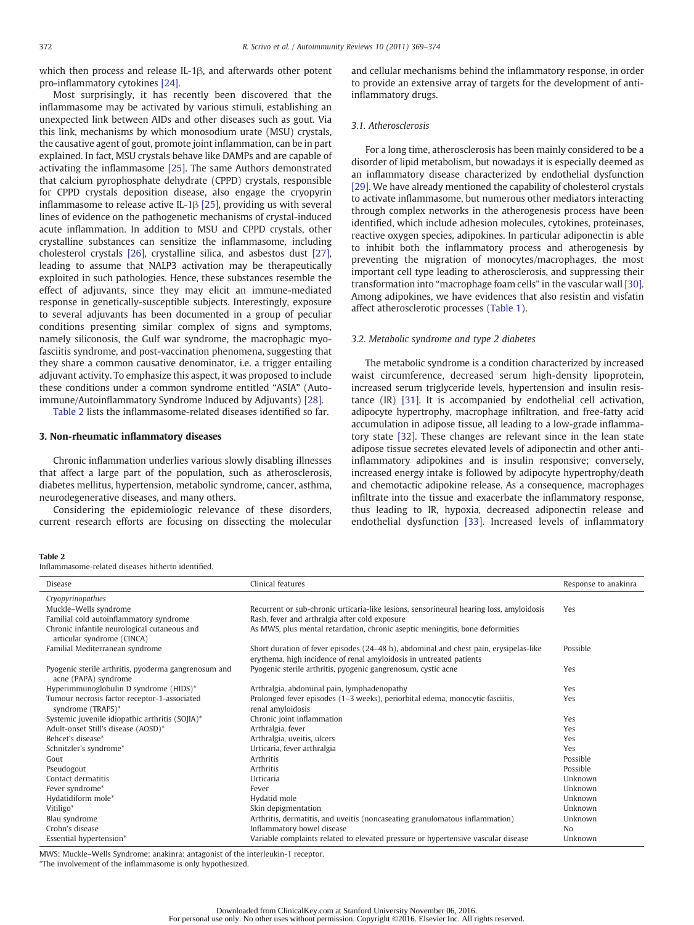which then process and release IL-1β, and afterwards other potent pro-inflammatory cytokines [\[24\]](#page-5-0).

Most surprisingly, it has recently been discovered that the inflammasome may be activated by various stimuli, establishing an unexpected link between AIDs and other diseases such as gout. Via this link, mechanisms by which monosodium urate (MSU) crystals, the causative agent of gout, promote joint inflammation, can be in part explained. In fact, MSU crystals behave like DAMPs and are capable of activating the inflammasome [\[25\]](#page-5-0). The same Authors demonstrated that calcium pyrophosphate dehydrate (CPPD) crystals, responsible for CPPD crystals deposition disease, also engage the cryopyrin inflammasome to release active IL-1β [\[25\],](#page-5-0) providing us with several lines of evidence on the pathogenetic mechanisms of crystal-induced acute inflammation. In addition to MSU and CPPD crystals, other crystalline substances can sensitize the inflammasome, including cholesterol crystals [\[26\]](#page-5-0), crystalline silica, and asbestos dust [\[27\],](#page-5-0) leading to assume that NALP3 activation may be therapeutically exploited in such pathologies. Hence, these substances resemble the effect of adjuvants, since they may elicit an immune-mediated response in genetically-susceptible subjects. Interestingly, exposure to several adjuvants has been documented in a group of peculiar conditions presenting similar complex of signs and symptoms, namely siliconosis, the Gulf war syndrome, the macrophagic myofasciitis syndrome, and post-vaccination phenomena, suggesting that they share a common causative denominator, i.e. a trigger entailing adjuvant activity. To emphasize this aspect, it was proposed to include these conditions under a common syndrome entitled "ASIA" (Autoimmune/Autoinflammatory Syndrome Induced by Adjuvants) [\[28\].](#page-5-0)

Table 2 lists the inflammasome-related diseases identified so far.

#### 3. Non-rheumatic inflammatory diseases

Chronic inflammation underlies various slowly disabling illnesses that affect a large part of the population, such as atherosclerosis, diabetes mellitus, hypertension, metabolic syndrome, cancer, asthma, neurodegenerative diseases, and many others.

Considering the epidemiologic relevance of these disorders, current research efforts are focusing on dissecting the molecular and cellular mechanisms behind the inflammatory response, in order to provide an extensive array of targets for the development of antiinflammatory drugs.

#### 3.1. Atherosclerosis

For a long time, atherosclerosis has been mainly considered to be a disorder of lipid metabolism, but nowadays it is especially deemed as an inflammatory disease characterized by endothelial dysfunction [\[29\]](#page-5-0). We have already mentioned the capability of cholesterol crystals to activate inflammasome, but numerous other mediators interacting through complex networks in the atherogenesis process have been identified, which include adhesion molecules, cytokines, proteinases, reactive oxygen species, adipokines. In particular adiponectin is able to inhibit both the inflammatory process and atherogenesis by preventing the migration of monocytes/macrophages, the most important cell type leading to atherosclerosis, and suppressing their transformation into "macrophage foam cells" in the vascular wall [\[30\].](#page-5-0) Among adipokines, we have evidences that also resistin and visfatin affect atherosclerotic processes [\(Table 1\)](#page-2-0).

#### 3.2. Metabolic syndrome and type 2 diabetes

The metabolic syndrome is a condition characterized by increased waist circumference, decreased serum high-density lipoprotein, increased serum triglyceride levels, hypertension and insulin resistance (IR) [\[31\].](#page-5-0) It is accompanied by endothelial cell activation, adipocyte hypertrophy, macrophage infiltration, and free-fatty acid accumulation in adipose tissue, all leading to a low-grade inflammatory state [\[32\]](#page-5-0). These changes are relevant since in the lean state adipose tissue secretes elevated levels of adiponectin and other antiinflammatory adipokines and is insulin responsive; conversely, increased energy intake is followed by adipocyte hypertrophy/death and chemotactic adipokine release. As a consequence, macrophages infiltrate into the tissue and exacerbate the inflammatory response, thus leading to IR, hypoxia, decreased adiponectin release and endothelial dysfunction [\[33\]](#page-5-0). Increased levels of inflammatory

#### Table 2

#### Inflammasome-related diseases hitherto identified.

| Disease                                                                      | Clinical features                                                                                                                                            | Response to anakinra |
|------------------------------------------------------------------------------|--------------------------------------------------------------------------------------------------------------------------------------------------------------|----------------------|
| Cryopyrinopathies                                                            |                                                                                                                                                              |                      |
| Muckle-Wells syndrome                                                        | Recurrent or sub-chronic urticaria-like lesions, sensorineural hearing loss, amyloidosis                                                                     | Yes                  |
| Familial cold autoinflammatory syndrome                                      | Rash, fever and arthralgia after cold exposure                                                                                                               |                      |
| Chronic infantile neurological cutaneous and<br>articular syndrome (CINCA)   | As MWS, plus mental retardation, chronic aseptic meningitis, bone deformities                                                                                |                      |
| Familial Mediterranean syndrome                                              | Short duration of fever episodes (24–48 h), abdominal and chest pain, erysipelas-like<br>erythema, high incidence of renal amyloidosis in untreated patients | Possible             |
| Pyogenic sterile arthritis, pyoderma gangrenosum and<br>acne (PAPA) syndrome | Pyogenic sterile arthritis, pyogenic gangrenosum, cystic acne                                                                                                | Yes                  |
| Hyperimmunoglobulin D syndrome (HIDS)*                                       | Arthralgia, abdominal pain, lymphadenopathy                                                                                                                  | Yes                  |
| Tumour necrosis factor receptor-1-associated<br>syndrome (TRAPS)*            | Prolonged fever episodes (1–3 weeks), periorbital edema, monocytic fasciitis,<br>renal amyloidosis                                                           | Yes                  |
| Systemic juvenile idiopathic arthritis (SOJIA)*                              | Chronic joint inflammation                                                                                                                                   | Yes                  |
| Adult-onset Still's disease (AOSD)*                                          | Arthralgia, fever                                                                                                                                            | Yes                  |
| Behcet's disease*                                                            | Arthralgia, uveitis, ulcers                                                                                                                                  | Yes                  |
| Schnitzler's syndrome*                                                       | Urticaria, fever arthralgia                                                                                                                                  | Yes                  |
| Gout                                                                         | <b>Arthritis</b>                                                                                                                                             | Possible             |
| Pseudogout                                                                   | Arthritis                                                                                                                                                    | Possible             |
| Contact dermatitis                                                           | Urticaria                                                                                                                                                    | Unknown              |
| Fever syndrome*                                                              | Fever                                                                                                                                                        | Unknown              |
| Hydatidiform mole*                                                           | Hydatid mole                                                                                                                                                 | Unknown              |
| Vitiligo*                                                                    | Skin depigmentation                                                                                                                                          | Unknown              |
| Blau syndrome                                                                | Arthritis, dermatitis, and uveitis (noncaseating granulomatous inflammation)                                                                                 | Unknown              |
| Crohn's disease                                                              | Inflammatory bowel disease                                                                                                                                   | N <sub>0</sub>       |
| Essential hypertension*                                                      | Variable complaints related to elevated pressure or hypertensive vascular disease                                                                            | Unknown              |

MWS: Muckle–Wells Syndrome; anakinra: antagonist of the interleukin-1 receptor.

\*The involvement of the inflammasome is only hypothesized.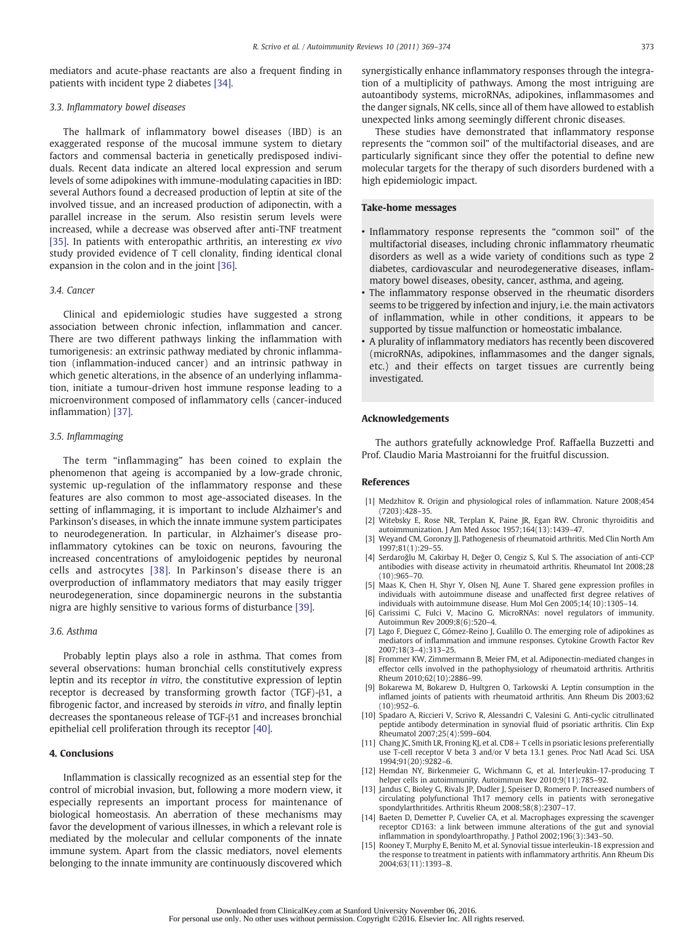<span id="page-4-0"></span>mediators and acute-phase reactants are also a frequent finding in patients with incident type 2 diabetes [\[34\]](#page-5-0).

#### 3.3. Inflammatory bowel diseases

The hallmark of inflammatory bowel diseases (IBD) is an exaggerated response of the mucosal immune system to dietary factors and commensal bacteria in genetically predisposed individuals. Recent data indicate an altered local expression and serum levels of some adipokines with immune-modulating capacities in IBD: several Authors found a decreased production of leptin at site of the involved tissue, and an increased production of adiponectin, with a parallel increase in the serum. Also resistin serum levels were increased, while a decrease was observed after anti-TNF treatment [\[35\]](#page-5-0). In patients with enteropathic arthritis, an interesting ex vivo study provided evidence of T cell clonality, finding identical clonal expansion in the colon and in the joint [\[36\].](#page-5-0)

#### 3.4. Cancer

Clinical and epidemiologic studies have suggested a strong association between chronic infection, inflammation and cancer. There are two different pathways linking the inflammation with tumorigenesis: an extrinsic pathway mediated by chronic inflammation (inflammation-induced cancer) and an intrinsic pathway in which genetic alterations, in the absence of an underlying inflammation, initiate a tumour-driven host immune response leading to a microenvironment composed of inflammatory cells (cancer-induced inflammation) [\[37\]](#page-5-0).

#### 3.5. Inflammaging

The term "inflammaging" has been coined to explain the phenomenon that ageing is accompanied by a low-grade chronic, systemic up-regulation of the inflammatory response and these features are also common to most age-associated diseases. In the setting of inflammaging, it is important to include Alzhaimer's and Parkinson's diseases, in which the innate immune system participates to neurodegeneration. In particular, in Alzhaimer's disease proinflammatory cytokines can be toxic on neurons, favouring the increased concentrations of amyloidogenic peptides by neuronal cells and astrocytes [\[38\].](#page-5-0) In Parkinson's disease there is an overproduction of inflammatory mediators that may easily trigger neurodegeneration, since dopaminergic neurons in the substantia nigra are highly sensitive to various forms of disturbance [\[39\]](#page-5-0).

#### 3.6. Asthma

Probably leptin plays also a role in asthma. That comes from several observations: human bronchial cells constitutively express leptin and its receptor in vitro, the constitutive expression of leptin receptor is decreased by transforming growth factor (TGF)-β1, a fibrogenic factor, and increased by steroids in vitro, and finally leptin decreases the spontaneous release of TGF-β1 and increases bronchial epithelial cell proliferation through its receptor [\[40\]](#page-5-0).

#### 4. Conclusions

Inflammation is classically recognized as an essential step for the control of microbial invasion, but, following a more modern view, it especially represents an important process for maintenance of biological homeostasis. An aberration of these mechanisms may favor the development of various illnesses, in which a relevant role is mediated by the molecular and cellular components of the innate immune system. Apart from the classic mediators, novel elements belonging to the innate immunity are continuously discovered which

synergistically enhance inflammatory responses through the integration of a multiplicity of pathways. Among the most intriguing are autoantibody systems, microRNAs, adipokines, inflammasomes and the danger signals, NK cells, since all of them have allowed to establish unexpected links among seemingly different chronic diseases.

These studies have demonstrated that inflammatory response represents the "common soil" of the multifactorial diseases, and are particularly significant since they offer the potential to define new molecular targets for the therapy of such disorders burdened with a high epidemiologic impact.

#### Take-home messages

- Inflammatory response represents the "common soil" of the multifactorial diseases, including chronic inflammatory rheumatic disorders as well as a wide variety of conditions such as type 2 diabetes, cardiovascular and neurodegenerative diseases, inflammatory bowel diseases, obesity, cancer, asthma, and ageing.
- The inflammatory response observed in the rheumatic disorders seems to be triggered by infection and injury, i.e. the main activators of inflammation, while in other conditions, it appears to be supported by tissue malfunction or homeostatic imbalance.
- A plurality of inflammatory mediators has recently been discovered (microRNAs, adipokines, inflammasomes and the danger signals, etc.) and their effects on target tissues are currently being investigated.

#### Acknowledgements

The authors gratefully acknowledge Prof. Raffaella Buzzetti and Prof. Claudio Maria Mastroianni for the fruitful discussion.

#### **References**

- [1] Medzhitov R. Origin and physiological roles of inflammation. Nature 2008;454 (7203):428–35.
- Witebsky E, Rose NR, Terplan K, Paine JR, Egan RW. Chronic thyroiditis and autoimmunization. J Am Med Assoc 1957;164(13):1439–47.
- [3] Weyand CM, Goronzy JJ. Pathogenesis of rheumatoid arthritis. Med Clin North Am 1997;81(1):29–55.
- [4] Serdaroğlu M, Cakirbay H, Değer O, Cengiz S, Kul S. The association of anti-CCP antibodies with disease activity in rheumatoid arthritis. Rheumatol Int 2008;28 (10):965–70.
- [5] Maas K, Chen H, Shyr Y, Olsen NJ, Aune T. Shared gene expression profiles in individuals with autoimmune disease and unaffected first degree relatives of individuals with autoimmune disease. Hum Mol Gen 2005;14(10):1305–14.
- [6] Carissimi C, Fulci V, Macino G. MicroRNAs: novel regulators of immunity. Autoimmun Rev 2009;8(6):520–4.
- [7] Lago F, Dieguez C, Gómez-Reino J, Gualillo O. The emerging role of adipokines as mediators of inflammation and immune responses. Cytokine Growth Factor Rev 2007;18(3–4):313–25.
- [8] Frommer KW, Zimmermann B, Meier FM, et al. Adiponectin-mediated changes in effector cells involved in the pathophysiology of rheumatoid arthritis. Arthritis Rheum 2010;62(10):2886–99.
- [9] Bokarewa M, Bokarew D, Hultgren O, Tarkowski A. Leptin consumption in the inflamed joints of patients with rheumatoid arthritis. Ann Rheum Dis 2003;62  $(10):952-6$
- [10] Spadaro A, Riccieri V, Scrivo R, Alessandri C, Valesini G. Anti-cyclic citrullinated peptide antibody determination in synovial fluid of psoriatic arthritis. Clin Exp Rheumatol 2007;25(4):599–604.
- [11] Chang JC, Smith LR, Froning KJ, et al. CD8 + T cells in psoriatic lesions preferentially use T-cell receptor V beta 3 and/or V beta 13.1 genes. Proc Natl Acad Sci. USA 1994;91(20):9282–6.
- [12] Hemdan NY, Birkenmeier G, Wichmann G, et al. Interleukin-17-producing T helper cells in autoimmunity. Autoimmun Rev 2010;9(11):785–92.
- [13] Jandus C, Bioley G, Rivals JP, Dudler J, Speiser D, Romero P. Increased numbers of circulating polyfunctional Th17 memory cells in patients with seronegative spondylarthritides. Arthritis Rheum 2008;58(8):2307–17.
- [14] Baeten D, Demetter P, Cuvelier CA, et al. Macrophages expressing the scavenger receptor CD163: a link between immune alterations of the gut and synovial inflammation in spondyloarthropathy. J Pathol 2002;196(3):343–50.
- [15] Rooney T, Murphy E, Benito M, et al. Synovial tissue interleukin-18 expression and the response to treatment in patients with inflammatory arthritis. Ann Rheum Dis 2004;63(11):1393–8.